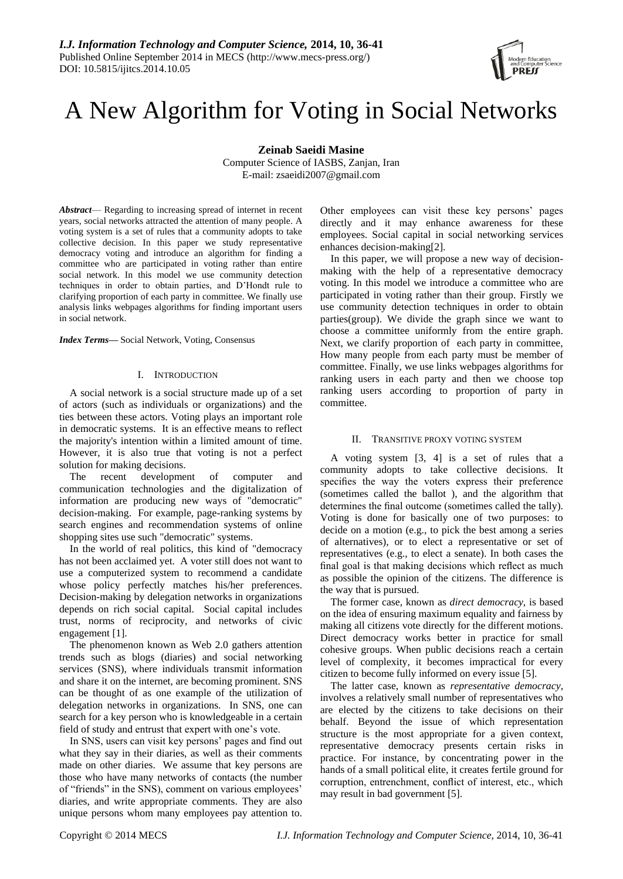

# A New Algorithm for Voting in Social Networks

**Zeinab Saeidi Masine** Computer Science of IASBS, Zanjan, Iran E-mail: zsaeidi2007@gmail.com

*Abstract*— Regarding to increasing spread of internet in recent years, social networks attracted the attention of many people. A voting system is a set of rules that a community adopts to take collective decision. In this paper we study representative democracy voting and introduce an algorithm for finding a committee who are participated in voting rather than entire social network. In this model we use community detection techniques in order to obtain parties, and D'Hondt rule to clarifying proportion of each party in committee. We finally use analysis links webpages algorithms for finding important users in social network.

*Index Terms***—** Social Network, Voting, Consensus

## I. INTRODUCTION

A social network is a social structure made up of a set of actors (such as individuals or organizations) and the ties between these actors. Voting plays an important role in democratic systems. It is an effective means to reflect the majority's intention within a limited amount of time. However, it is also true that voting is not a perfect solution for making decisions.

The recent development of computer and communication technologies and the digitalization of information are producing new ways of "democratic" decision-making. For example, page-ranking systems by search engines and recommendation systems of online shopping sites use such "democratic" systems.

In the world of real politics, this kind of "democracy has not been acclaimed yet. A voter still does not want to use a computerized system to recommend a candidate whose policy perfectly matches his/her preferences. Decision-making by delegation networks in organizations depends on rich social capital. Social capital includes trust, norms of reciprocity, and networks of civic engagement [1].

The phenomenon known as Web 2.0 gathers attention trends such as blogs (diaries) and social networking services (SNS), where individuals transmit information and share it on the internet, are becoming prominent. SNS can be thought of as one example of the utilization of delegation networks in organizations. In SNS, one can search for a key person who is knowledgeable in a certain field of study and entrust that expert with one's vote.

In SNS, users can visit key persons' pages and find out what they say in their diaries, as well as their comments made on other diaries. We assume that key persons are those who have many networks of contacts (the number of "friends" in the SNS), comment on various employees' diaries, and write appropriate comments. They are also unique persons whom many employees pay attention to.

Other employees can visit these key persons' pages directly and it may enhance awareness for these employees. Social capital in social networking services enhances decision-making[2].

In this paper, we will propose a new way of decisionmaking with the help of a representative democracy voting. In this model we introduce a committee who are participated in voting rather than their group. Firstly we use community detection techniques in order to obtain parties(group). We divide the graph since we want to choose a committee uniformly from the entire graph. Next, we clarify proportion of each party in committee, How many people from each party must be member of committee. Finally, we use links webpages algorithms for ranking users in each party and then we choose top ranking users according to proportion of party in committee.

## II. TRANSITIVE PROXY VOTING SYSTEM

A voting system [3, 4] is a set of rules that a community adopts to take collective decisions. It specifies the way the voters express their preference (sometimes called the ballot ), and the algorithm that determines the final outcome (sometimes called the tally). Voting is done for basically one of two purposes: to decide on a motion (e.g., to pick the best among a series of alternatives), or to elect a representative or set of representatives (e.g., to elect a senate). In both cases the final goal is that making decisions which reflect as much as possible the opinion of the citizens. The difference is the way that is pursued.

The former case, known as *direct democracy*, is based on the idea of ensuring maximum equality and fairness by making all citizens vote directly for the different motions. Direct democracy works better in practice for small cohesive groups. When public decisions reach a certain level of complexity, it becomes impractical for every citizen to become fully informed on every issue [5].

The latter case, known as *representative democracy*, involves a relatively small number of representatives who are elected by the citizens to take decisions on their behalf. Beyond the issue of which representation structure is the most appropriate for a given context, representative democracy presents certain risks in practice. For instance, by concentrating power in the hands of a small political elite, it creates fertile ground for corruption, entrenchment, conflict of interest, etc., which may result in bad government [5].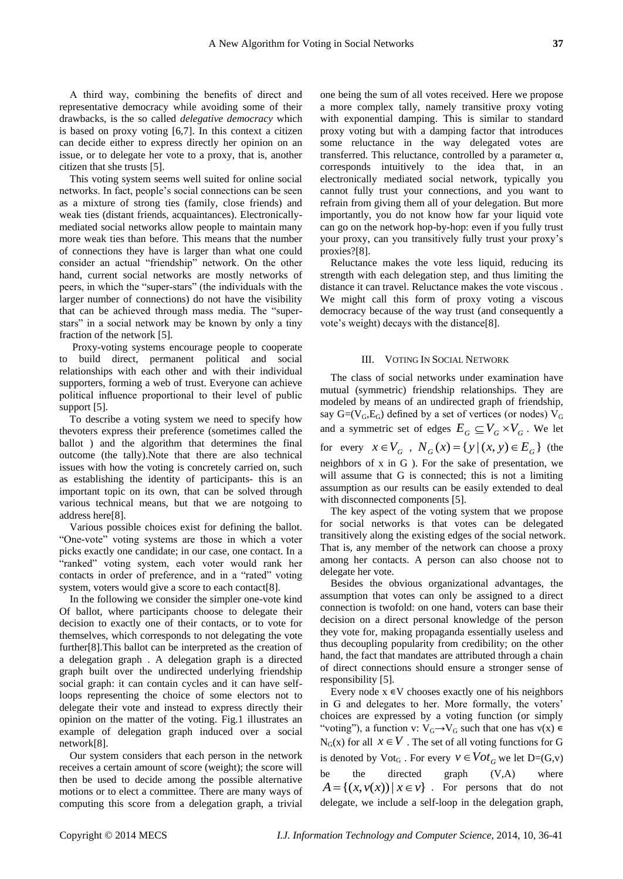A third way, combining the benefits of direct and representative democracy while avoiding some of their drawbacks, is the so called *delegative democracy* which is based on proxy voting [6,7]. In this context a citizen can decide either to express directly her opinion on an issue, or to delegate her vote to a proxy, that is, another citizen that she trusts [5].

This voting system seems well suited for online social networks. In fact, people's social connections can be seen as a mixture of strong ties (family, close friends) and weak ties (distant friends, acquaintances). Electronicallymediated social networks allow people to maintain many more weak ties than before. This means that the number of connections they have is larger than what one could consider an actual "friendship" network. On the other hand, current social networks are mostly networks of peers, in which the "super-stars" (the individuals with the larger number of connections) do not have the visibility that can be achieved through mass media. The "superstars" in a social network may be known by only a tiny fraction of the network [5].

Proxy-voting systems encourage people to cooperate to build direct, permanent political and social relationships with each other and with their individual supporters, forming a web of trust. Everyone can achieve political influence proportional to their level of public support [5].

To describe a voting system we need to specify how thevoters express their preference (sometimes called the ballot ) and the algorithm that determines the final outcome (the tally).Note that there are also technical issues with how the voting is concretely carried on, such as establishing the identity of participants- this is an important topic on its own, that can be solved through various technical means, but that we are notgoing to address here[8].

Various possible choices exist for defining the ballot. "One-vote" voting systems are those in which a voter picks exactly one candidate; in our case, one contact. In a "ranked" voting system, each voter would rank her contacts in order of preference, and in a "rated" voting system, voters would give a score to each contact[8].

In the following we consider the simpler one-vote kind Of ballot, where participants choose to delegate their decision to exactly one of their contacts, or to vote for themselves, which corresponds to not delegating the vote further[8].This ballot can be interpreted as the creation of a delegation graph . A delegation graph is a directed graph built over the undirected underlying friendship social graph: it can contain cycles and it can have selfloops representing the choice of some electors not to delegate their vote and instead to express directly their opinion on the matter of the voting. Fig.1 illustrates an example of delegation graph induced over a social network[8].

Our system considers that each person in the network receives a certain amount of score (weight); the score will then be used to decide among the possible alternative motions or to elect a committee. There are many ways of computing this score from a delegation graph, a trivial one being the sum of all votes received. Here we propose a more complex tally, namely transitive proxy voting with exponential damping. This is similar to standard proxy voting but with a damping factor that introduces some reluctance in the way delegated votes are transferred. This reluctance, controlled by a parameter α, corresponds intuitively to the idea that, in an electronically mediated social network, typically you cannot fully trust your connections, and you want to refrain from giving them all of your delegation. But more importantly, you do not know how far your liquid vote can go on the network hop-by-hop: even if you fully trust your proxy, can you transitively fully trust your proxy's proxies?[8].

Reluctance makes the vote less liquid, reducing its strength with each delegation step, and thus limiting the distance it can travel. Reluctance makes the vote viscous . We might call this form of proxy voting a viscous democracy because of the way trust (and consequently a vote's weight) decays with the distance[8].

## III. VOTING IN SOCIAL NETWORK

The class of social networks under examination have mutual (symmetric) friendship relationships. They are modeled by means of an undirected graph of friendship, say  $G=(V_G, E_G)$  defined by a set of vertices (or nodes)  $V_G$ and a symmetric set of edges  $E_G \subseteq V_G \times V_G$ . We let for every  $x \in V_G$ ,  $N_G(x) = \{y \mid (x, y) \in E_G\}$  (the neighbors of x in G ). For the sake of presentation, we will assume that G is connected; this is not a limiting assumption as our results can be easily extended to deal with disconnected components [5].

The key aspect of the voting system that we propose for social networks is that votes can be delegated transitively along the existing edges of the social network. That is, any member of the network can choose a proxy among her contacts. A person can also choose not to delegate her vote.

Besides the obvious organizational advantages, the assumption that votes can only be assigned to a direct connection is twofold: on one hand, voters can base their decision on a direct personal knowledge of the person they vote for, making propaganda essentially useless and thus decoupling popularity from credibility; on the other hand, the fact that mandates are attributed through a chain of direct connections should ensure a stronger sense of responsibility [5].

Every node  $x \in V$  chooses exactly one of his neighbors in G and delegates to her. More formally, the voters' choices are expressed by a voting function (or simply "voting"), a function v:  $V_G \rightarrow V_G$  such that one has  $v(x) \in$  $N_G(x)$  for all  $x \in V$ . The set of all voting functions for G is denoted by  $\text{Vot}_G$ . For every  $v \in \text{Vot}_G$  we let  $D=(G,v)$ be the directed graph  $(V,A)$  where  $A = \{(x, v(x)) | x \in v\}$ . For persons that do not delegate, we include a self-loop in the delegation graph,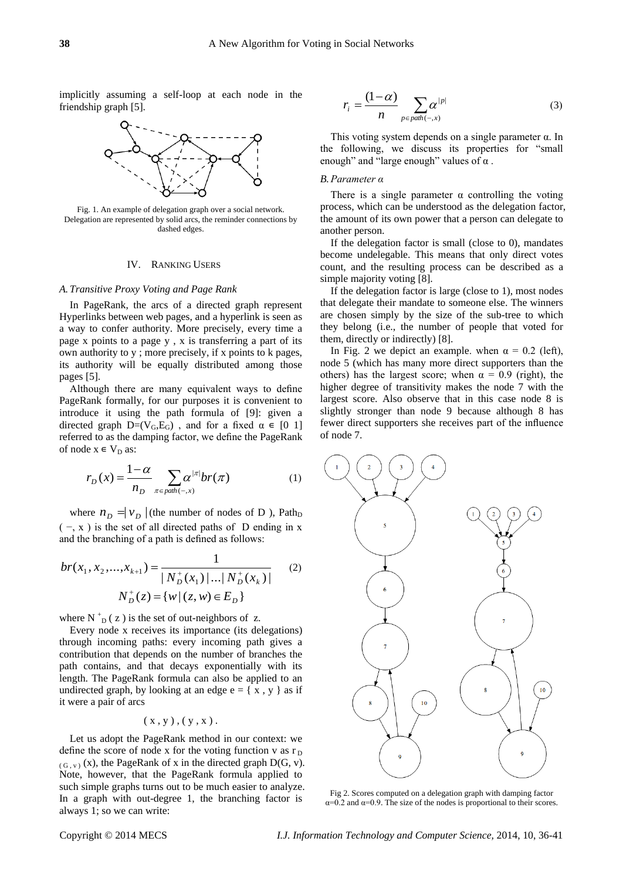implicitly assuming a self-loop at each node in the friendship graph [5].



Fig. 1. An example of delegation graph over a social network. Delegation are represented by solid arcs, the reminder connections by dashed edges.

## IV. RANKING USERS

#### *A. Transitive Proxy Voting and Page Rank*

In PageRank, the arcs of a directed graph represent Hyperlinks between web pages, and a hyperlink is seen as a way to confer authority. More precisely, every time a page x points to a page y , x is transferring a part of its own authority to y ; more precisely, if x points to k pages, its authority will be equally distributed among those pages [5].

Although there are many equivalent ways to define PageRank formally, for our purposes it is convenient to introduce it using the path formula of [9]: given a directed graph  $D=(V_G,E_G)$ , and for a fixed  $\alpha \in [0,1]$ referred to as the damping factor, we define the PageRank of node  $x \in V_D$  as:

$$
r_D(x) = \frac{1-\alpha}{n_D} \sum_{\pi \in path(-,x)} \alpha^{|\pi|} br(\pi)
$$
 (1)

where  $n_D = v_D$  (the number of nodes of D), Path<sub>D</sub>  $(-, x)$  is the set of all directed paths of D ending in x and the branching of a path is defined as follows:

$$
br(x_1, x_2,...,x_{k+1}) = \frac{1}{|N_D^+(x_1)|...|N_D^+(x_k)|}
$$
 (2)  

$$
N_D^+(z) = \{w | (z, w) \in E_D\}
$$

where  $N_{D}^{+}(z)$  is the set of out-neighbors of z.

Every node x receives its importance (its delegations) through incoming paths: every incoming path gives a contribution that depends on the number of branches the path contains, and that decays exponentially with its length. The PageRank formula can also be applied to an undirected graph, by looking at an edge  $e = \{ x, y \}$  as if it were a pair of arcs

$$
\left(\,x \,, y\,\right),\left(\,y \,, x\,\right).
$$

Let us adopt the PageRank method in our context: we define the score of node x for the voting function v as  $r<sub>D</sub>$  $(G, v)$  (x), the PageRank of x in the directed graph D(G, v). Note, however, that the PageRank formula applied to such simple graphs turns out to be much easier to analyze. In a graph with out-degree 1, the branching factor is always 1; so we can write:

$$
r_i = \frac{(1-\alpha)}{n} \sum_{p \in path(-,x)} \alpha^{|p|} \tag{3}
$$

This voting system depends on a single parameter  $\alpha$ . In the following, we discuss its properties for "small" enough" and "large enough" values of  $\alpha$ .

## *B.Parameter α*

There is a single parameter  $\alpha$  controlling the voting process, which can be understood as the delegation factor, the amount of its own power that a person can delegate to another person.

If the delegation factor is small (close to 0), mandates become undelegable. This means that only direct votes count, and the resulting process can be described as a simple majority voting [8].

If the delegation factor is large (close to 1), most nodes that delegate their mandate to someone else. The winners are chosen simply by the size of the sub-tree to which they belong (i.e., the number of people that voted for them, directly or indirectly) [8].

In Fig. 2 we depict an example. when  $\alpha = 0.2$  (left), node 5 (which has many more direct supporters than the others) has the largest score; when  $\alpha = 0.9$  (right), the higher degree of transitivity makes the node 7 with the largest score. Also observe that in this case node 8 is slightly stronger than node 9 because although 8 has fewer direct supporters she receives part of the influence of node 7.



Fig 2. Scores computed on a delegation graph with damping factor  $\alpha$ =0.2 and  $\alpha$ =0.9. The size of the nodes is proportional to their scores.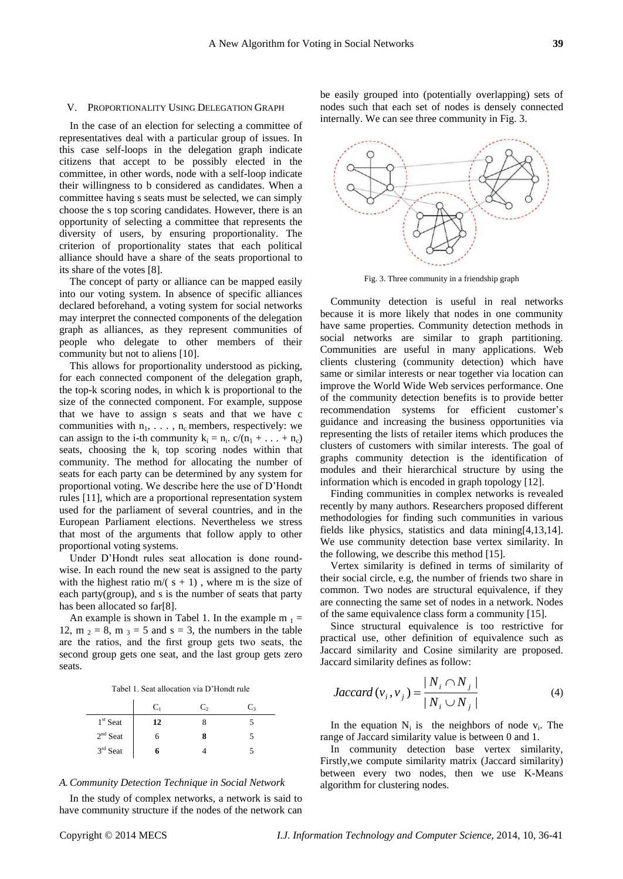#### V. PROPORTIONALITY USING DELEGATION GRAPH

In the case of an election for selecting a committee of representatives deal with a particular group of issues. In this case self-loops in the delegation graph indicate citizens that accept to be possibly elected in the committee, in other words, node with a self-loop indicate their willingness to b considered as candidates. When a committee having s seats must be selected, we can simply choose the s top scoring candidates. However, there is an opportunity of selecting a committee that represents the diversity of users, by ensuring proportionality. The criterion of proportionality states that each political alliance should have a share of the seats proportional to its share of the votes [8].

The concept of party or alliance can be mapped easily into our voting system. In absence of specific alliances declared beforehand, a voting system for social networks may interpret the connected components of the delegation graph as alliances, as they represent communities of people who delegate to other members of their community but not to aliens [10].

This allows for proportionality understood as picking, for each connected component of the delegation graph, the top-k scoring nodes, in which k is proportional to the size of the connected component. For example, suppose that we have to assign s seats and that we have c communities with  $n_1, \ldots, n_c$  members, respectively: we can assign to the i-th community  $k_i = n_i$ .  $c/(n_1 + ... + n_c)$ seats, choosing the  $k_i$  top scoring nodes within that community. The method for allocating the number of seats for each party can be determined by any system for proportional voting. We describe here the use of D'Hondt rules [11], which are a proportional representation system used for the parliament of several countries, and in the European Parliament elections. Nevertheless we stress that most of the arguments that follow apply to other proportional voting systems.

Under D'Hondt rules seat allocation is done roundwise. In each round the new seat is assigned to the party with the highest ratio  $m/(s + 1)$ , where m is the size of each party(group), and s is the number of seats that party has been allocated so far[8].

An example is shown in Tabel 1. In the example  $m_1 =$ 12, m  $_2 = 8$ , m  $_3 = 5$  and  $s = 3$ , the numbers in the table are the ratios, and the first group gets two seats, the second group gets one seat, and the last group gets zero seats.

|  |  |  | Tabel 1. Seat allocation via D'Hondt rule |  |  |  |
|--|--|--|-------------------------------------------|--|--|--|
|--|--|--|-------------------------------------------|--|--|--|

|            | Cı | C, | $C_{3}$ |
|------------|----|----|---------|
| $1st$ Seat | 12 |    |         |
| $2nd$ Seat |    |    |         |
| 3rd Seat   |    |    |         |

#### *A.Community Detection Technique in Social Network*

In the study of complex networks, a network is said to have community structure if the nodes of the network can

be easily grouped into (potentially overlapping) sets of nodes such that each set of nodes is densely connected internally. We can see three community in Fig. 3.



Community detection is useful in real networks because it is more likely that nodes in one community have same properties. Community detection methods in social networks are similar to graph partitioning. Communities are useful in many applications. Web clients clustering (community detection) which have same or similar interests or near together via location can improve the World Wide Web services performance. One of the community detection benefits is to provide better recommendation systems for efficient customer's guidance and increasing the business opportunities via representing the lists of retailer items which produces the clusters of customers with similar interests. The goal of graphs community detection is the identification of modules and their hierarchical structure by using the information which is encoded in graph topology [12].

Finding communities in complex networks is revealed recently by many authors. Researchers proposed different methodologies for finding such communities in various fields like physics, statistics and data mining[4,13,14]. We use community detection base vertex similarity. In the following, we describe this method [15].

Vertex similarity is defined in terms of similarity of their social circle, e.g, the number of friends two share in common. Two nodes are structural equivalence, if they are connecting the same set of nodes in a network. Nodes of the same equivalence class form a community [15].

Since structural equivalence is too restrictive for practical use, other definition of equivalence such as Jaccard similarity and Cosine similarity are proposed. Jaccard similarity defines as follow:

$$
Jaccard(v_i, v_j) = \frac{|N_i \cap N_j|}{|N_i \cup N_j|}
$$
 (4)

In the equation  $N_i$  is the neighbors of node  $v_i$ . The range of Jaccard similarity value is between 0 and 1.

In community detection base vertex similarity, Firstly,we compute similarity matrix (Jaccard similarity) between every two nodes, then we use K-Means algorithm for clustering nodes.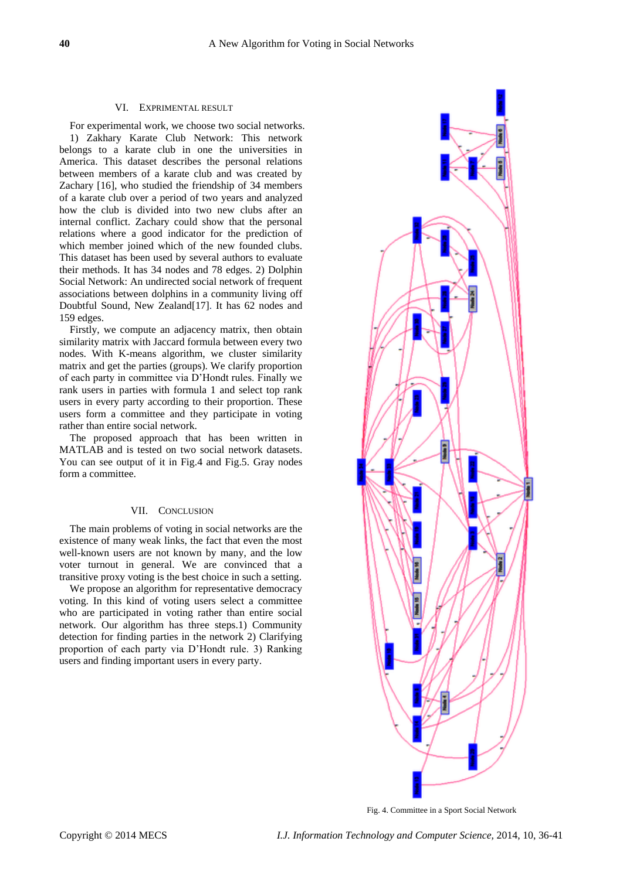## VI. EXPRIMENTAL RESULT

For experimental work, we choose two social networks. 1) Zakhary Karate Club Network: This network belongs to a karate club in one the universities in America. This dataset describes the personal relations between members of a karate club and was created by Zachary [16], who studied the friendship of 34 members of a karate club over a period of two years and analyzed how the club is divided into two new clubs after an internal conflict. Zachary could show that the personal relations where a good indicator for the prediction of which member joined which of the new founded clubs. This dataset has been used by several authors to evaluate their methods. It has 34 nodes and 78 edges. 2) Dolphin Social Network: An undirected social network of frequent associations between dolphins in a community living off Doubtful Sound, New Zealand[17]. It has 62 nodes and 159 edges.

Firstly, we compute an adjacency matrix, then obtain similarity matrix with Jaccard formula between every two nodes. With K-means algorithm, we cluster similarity matrix and get the parties (groups). We clarify proportion of each party in committee via D'Hondt rules. Finally we rank users in parties with formula 1 and select top rank users in every party according to their proportion. These users form a committee and they participate in voting rather than entire social network.

The proposed approach that has been written in MATLAB and is tested on two social network datasets. You can see output of it in Fig.4 and Fig.5. Gray nodes form a committee.

## VII. CONCLUSION

The main problems of voting in social networks are the existence of many weak links, the fact that even the most well-known users are not known by many, and the low voter turnout in general. We are convinced that a transitive proxy voting is the best choice in such a setting.

We propose an algorithm for representative democracy voting. In this kind of voting users select a committee who are participated in voting rather than entire social network. Our algorithm has three steps.1) Community detection for finding parties in the network 2) Clarifying proportion of each party via D'Hondt rule. 3) Ranking users and finding important users in every party.



Fig. 4. Committee in a Sport Social Network